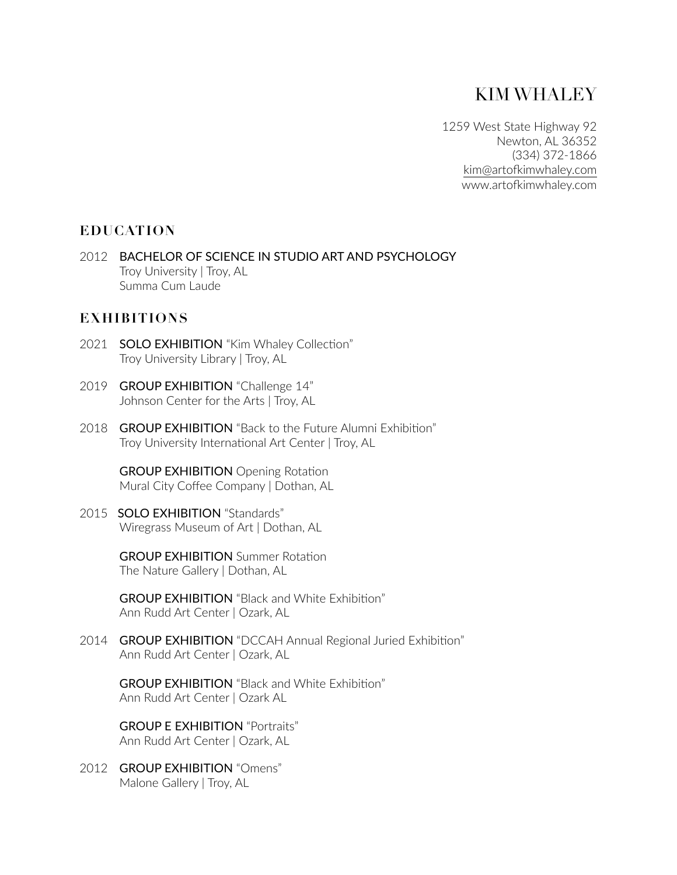# KIM WHALEY

1259 West State Highway 92 Newton, AL 36352 (334) 372-1866 kim@artofkimwhaley.com www.artofkimwhaley.com

## **EDUCATION**

2012 BACHELOR OF SCIENCE IN STUDIO ART AND PSYCHOLOGY Troy University | Troy, AL Summa Cum Laude

# **EXHIBITIONS**

- 2021 SOLO EXHIBITION "Kim Whaley Collection" Troy University Library | Troy, AL
- 2019 GROUP EXHIBITION "Challenge 14" Johnson Center for the Arts | Troy, AL
- 2018 GROUP EXHIBITION "Back to the Future Alumni Exhibition" Troy University International Art Center | Troy, AL

**GROUP EXHIBITION** Opening Rotation Mural City Coffee Company | Dothan, AL

2015 **SOLO EXHIBITION** "Standards" Wiregrass Museum of Art | Dothan, AL

> **GROUP EXHIBITION** Summer Rotation The Nature Gallery | Dothan, AL

**GROUP EXHIBITION** "Black and White Exhibition" Ann Rudd Art Center | Ozark, AL

2014 GROUP EXHIBITION "DCCAH Annual Regional Juried Exhibition" Ann Rudd Art Center | Ozark, AL

**GROUP EXHIBITION** "Black and White Exhibition" Ann Rudd Art Center | Ozark AL

GROUP E EXHIBITION "Portraits" Ann Rudd Art Center | Ozark, AL

2012 GROUP EXHIBITION "Omens" Malone Gallery | Troy, AL